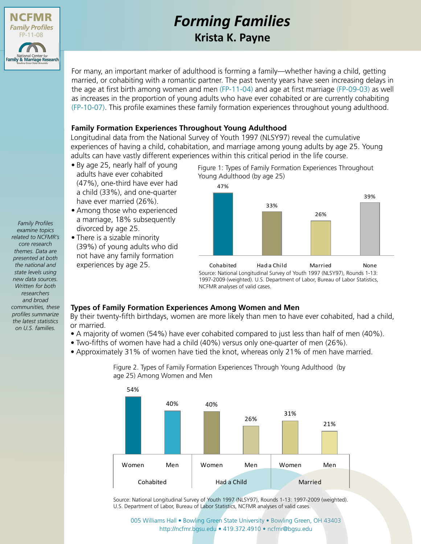

# *Forming Families* **Krista K. Payne**

For many, an important marker of adulthood is forming a family—whether having a child, getting married, or cohabiting with a romantic partner. The past twenty years have seen increasing delays in the age at first birth among women and men [\(FP-11-04\)](http://ncfmr.bgsu.edu/pdf/family_profiles/file99036.pdf) and age at first marriage [\(FP-09-03\)](http://ncfmr.bgsu.edu/pdf/family_profiles/file100745.pdf) as well as increases in the proportion of young adults who have ever cohabited or are currently cohabiting [\(FP-10-07\)](http://ncfmr.bgsu.edu/pdf/family_profiles/file87411.pdf). This profile examines these family formation experiences throughout young adulthood.

## **Family Formation Experiences Throughout Young Adulthood**

Longitudinal data from the National Survey of Youth 1997 (NLSY97) reveal the cumulative experiences of having a child, cohabitation, and marriage among young adults by age 25. Young adults can have vastly different experiences within this critical period in the life course.

- By age 25, nearly half of young adults have ever cohabited (47%), one-third have ever had a child (33%), and one-quarter have ever married (26%).
- Among those who experienced a marriage, 18% subsequently divorced by age 25.
- There is a sizable minority (39%) of young adults who did not have any family formation experiences by age 25.

Figure 1: Types of Family Formation Experiences Throughout Young Adulthood (by age 25)



Cohabited Had a Child Married None Source: National Longitudinal Survey of Youth 1997 (NLSY97), Rounds 1-13: 1997-2009 (weighted). U.S. Department of Labor, Bureau of Labor Statistics, NCFMR analyses of valid cases.

# **Types of Family Formation Experiences Among Women and Men**

By their twenty-fifth birthdays, women are more likely than men to have ever cohabited, had a child, or married.

- A majority of women (54%) have ever cohabited compared to just less than half of men (40%).
- Two-fifths of women have had a child (40%) versus only one-quarter of men (26%).
- Approximately 31% of women have tied the knot, whereas only 21% of men have married.



Figure 2. Types of Family Formation Experiences Through Young Adulthood (by age 25) Among Women and Men

Source: National Longitudinal Survey of Youth 1997 (NLSY97), Rounds 1-13: 1997-2009 (weighted). U.S. Department of Labor, Bureau of Labor Statistics, NCFMR analyses of valid cases.

[005 Williams Hall • Bowling Green State University • Bowling Green, OH 43403](http://ncfmr.bgsu.edu) http://ncfmr.bgsu.edu • 419.372.4910 • ncfmr@bgsu.edu

*examine topics related to NCFMR's core research themes. Data are presented at both the national and state levels using new data sources. Written for both researchers and broad communities, these profiles summarize the latest statistics on U.S. families.*

*Family Profiles*